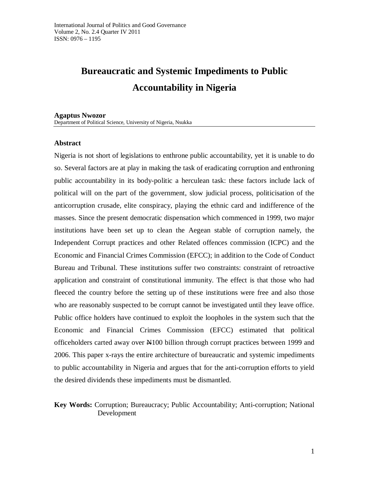# **Bureaucratic and Systemic Impediments to Public Accountability in Nigeria**

#### **Agaptus Nwozor**

Department of Political Science, University of Nigeria, Nsukka

### **Abstract**

Nigeria is not short of legislations to enthrone public accountability, yet it is unable to do so. Several factors are at play in making the task of eradicating corruption and enthroning public accountability in its body-politic a herculean task: these factors include lack of political will on the part of the government, slow judicial process, politicisation of the anticorruption crusade, elite conspiracy, playing the ethnic card and indifference of the masses. Since the present democratic dispensation which commenced in 1999, two major institutions have been set up to clean the Aegean stable of corruption namely, the Independent Corrupt practices and other Related offences commission (ICPC) and the Economic and Financial Crimes Commission (EFCC); in addition to the Code of Conduct Bureau and Tribunal. These institutions suffer two constraints: constraint of retroactive application and constraint of constitutional immunity. The effect is that those who had fleeced the country before the setting up of these institutions were free and also those who are reasonably suspected to be corrupt cannot be investigated until they leave office. Public office holders have continued to exploit the loopholes in the system such that the Economic and Financial Crimes Commission (EFCC) estimated that political officeholders carted away over  $\mathbb{H}100$  billion through corrupt practices between 1999 and 2006. This paper x-rays the entire architecture of bureaucratic and systemic impediments to public accountability in Nigeria and argues that for the anti-corruption efforts to yield the desired dividends these impediments must be dismantled.

### **Key Words:** Corruption; Bureaucracy; Public Accountability; Anti-corruption; National Development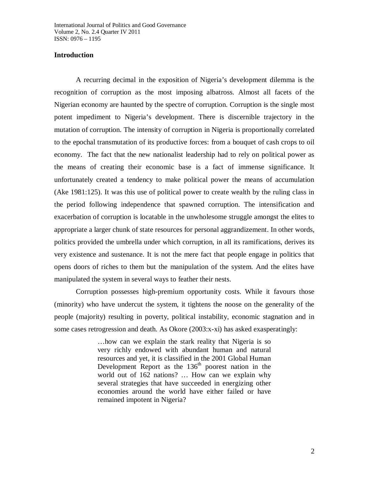### **Introduction**

A recurring decimal in the exposition of Nigeria's development dilemma is the recognition of corruption as the most imposing albatross. Almost all facets of the Nigerian economy are haunted by the spectre of corruption. Corruption is the single most potent impediment to Nigeria's development. There is discernible trajectory in the mutation of corruption. The intensity of corruption in Nigeria is proportionally correlated to the epochal transmutation of its productive forces: from a bouquet of cash crops to oil economy. The fact that the new nationalist leadership had to rely on political power as the means of creating their economic base is a fact of immense significance. It unfortunately created a tendency to make political power the means of accumulation (Ake 1981:125). It was this use of political power to create wealth by the ruling class in the period following independence that spawned corruption. The intensification and exacerbation of corruption is locatable in the unwholesome struggle amongst the elites to appropriate a larger chunk of state resources for personal aggrandizement. In other words, politics provided the umbrella under which corruption, in all its ramifications, derives its very existence and sustenance. It is not the mere fact that people engage in politics that opens doors of riches to them but the manipulation of the system. And the elites have manipulated the system in several ways to feather their nests.

Corruption possesses high-premium opportunity costs. While it favours those (minority) who have undercut the system, it tightens the noose on the generality of the people (majority) resulting in poverty, political instability, economic stagnation and in some cases retrogression and death. As Okore (2003:x-xi) has asked exasperatingly:

> …how can we explain the stark reality that Nigeria is so very richly endowed with abundant human and natural resources and yet, it is classified in the 2001 Global Human Development Report as the  $136<sup>th</sup>$  poorest nation in the world out of 162 nations? … How can we explain why several strategies that have succeeded in energizing other economies around the world have either failed or have remained impotent in Nigeria?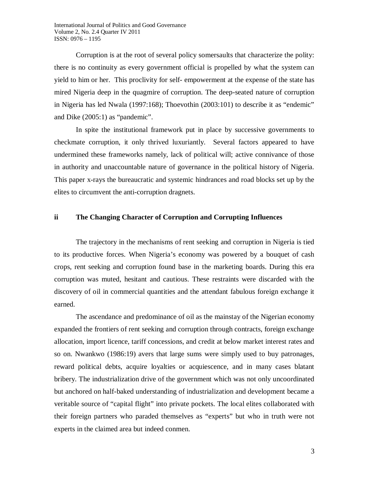Corruption is at the root of several policy somersaults that characterize the polity: there is no continuity as every government official is propelled by what the system can yield to him or her. This proclivity for self- empowerment at the expense of the state has mired Nigeria deep in the quagmire of corruption. The deep-seated nature of corruption in Nigeria has led Nwala (1997:168); Thoevothin (2003:101) to describe it as "endemic" and Dike (2005:1) as "pandemic".

In spite the institutional framework put in place by successive governments to checkmate corruption, it only thrived luxuriantly. Several factors appeared to have undermined these frameworks namely, lack of political will; active connivance of those in authority and unaccountable nature of governance in the political history of Nigeria. This paper x-rays the bureaucratic and systemic hindrances and road blocks set up by the elites to circumvent the anti-corruption dragnets.

### **ii The Changing Character of Corruption and Corrupting Influences**

The trajectory in the mechanisms of rent seeking and corruption in Nigeria is tied to its productive forces. When Nigeria's economy was powered by a bouquet of cash crops, rent seeking and corruption found base in the marketing boards. During this era corruption was muted, hesitant and cautious. These restraints were discarded with the discovery of oil in commercial quantities and the attendant fabulous foreign exchange it earned.

The ascendance and predominance of oil as the mainstay of the Nigerian economy expanded the frontiers of rent seeking and corruption through contracts, foreign exchange allocation, import licence, tariff concessions, and credit at below market interest rates and so on. Nwankwo (1986:19) avers that large sums were simply used to buy patronages, reward political debts, acquire loyalties or acquiescence, and in many cases blatant bribery. The industrialization drive of the government which was not only uncoordinated but anchored on half-baked understanding of industrialization and development became a veritable source of "capital flight" into private pockets. The local elites collaborated with their foreign partners who paraded themselves as "experts" but who in truth were not experts in the claimed area but indeed conmen.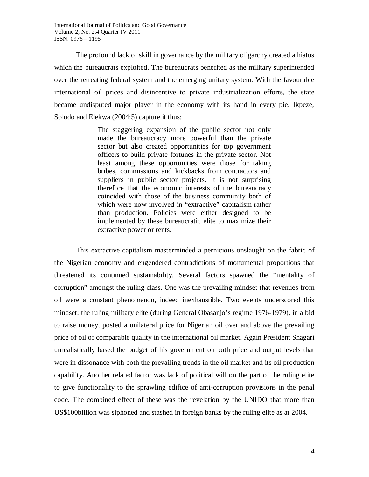The profound lack of skill in governance by the military oligarchy created a hiatus which the bureaucrats exploited. The bureaucrats benefited as the military superintended over the retreating federal system and the emerging unitary system. With the favourable international oil prices and disincentive to private industrialization efforts, the state became undisputed major player in the economy with its hand in every pie. Ikpeze, Soludo and Elekwa (2004:5) capture it thus:

> The staggering expansion of the public sector not only made the bureaucracy more powerful than the private sector but also created opportunities for top government officers to build private fortunes in the private sector. Not least among these opportunities were those for taking bribes, commissions and kickbacks from contractors and suppliers in public sector projects. It is not surprising therefore that the economic interests of the bureaucracy coincided with those of the business community both of which were now involved in "extractive" capitalism rather than production. Policies were either designed to be implemented by these bureaucratic elite to maximize their extractive power or rents.

This extractive capitalism masterminded a pernicious onslaught on the fabric of the Nigerian economy and engendered contradictions of monumental proportions that threatened its continued sustainability. Several factors spawned the "mentality of corruption" amongst the ruling class. One was the prevailing mindset that revenues from oil were a constant phenomenon, indeed inexhaustible. Two events underscored this mindset: the ruling military elite (during General Obasanjo's regime 1976-1979), in a bid to raise money, posted a unilateral price for Nigerian oil over and above the prevailing price of oil of comparable quality in the international oil market. Again President Shagari unrealistically based the budget of his government on both price and output levels that were in dissonance with both the prevailing trends in the oil market and its oil production capability. Another related factor was lack of political will on the part of the ruling elite to give functionality to the sprawling edifice of anti-corruption provisions in the penal code. The combined effect of these was the revelation by the UNIDO that more than US\$100billion was siphoned and stashed in foreign banks by the ruling elite as at 2004.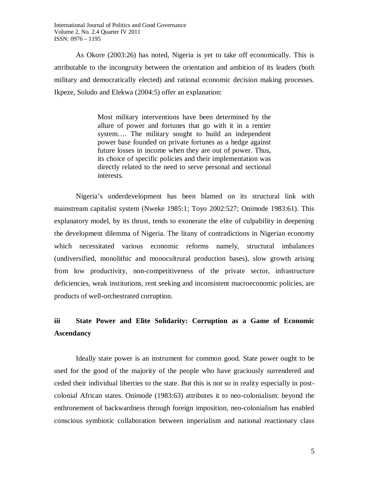As Okore (2003:26) has noted, Nigeria is yet to take off economically. This is attributable to the incongruity between the orientation and ambition of its leaders (both military and democratically elected) and rational economic decision making processes. Ikpeze, Soludo and Elekwa (2004:5) offer an explanation:

> Most military interventions have been determined by the allure of power and fortunes that go with it in a rentier system…. The military sought to build an independent power base founded on private fortunes as a hedge against future losses in income when they are out of power. Thus, its choice of specific policies and their implementation was directly related to the need to serve personal and sectional interests.

Nigeria's underdevelopment has been blamed on its structural link with mainstream capitalist system (Nweke 1985:1; Toyo 2002:527; Onimode 1983:61). This explanatory model, by its thrust, tends to exonerate the elite of culpability in deepening the development dilemma of Nigeria. The litany of contradictions in Nigerian economy which necessitated various economic reforms namely, structural imbalances (undiversified, monolithic and monocultrural production bases), slow growth arising from low productivity, non-competitiveness of the private sector, infrastructure deficiencies, weak institutions, rent seeking and inconsistent macroeconomic policies, are products of well-orchestrated corruption.

# **iii State Power and Elite Solidarity: Corruption as a Game of Economic Ascendancy**

Ideally state power is an instrument for common good. State power ought to be used for the good of the majority of the people who have graciously surrendered and ceded their individual liberties to the state. But this is not so in reality especially in postcolonial African states. Onimode (1983:63) attributes it to neo-colonialism: beyond the enthronement of backwardness through foreign imposition, neo-colonialism has enabled conscious symbiotic collaboration between imperialism and national reactionary class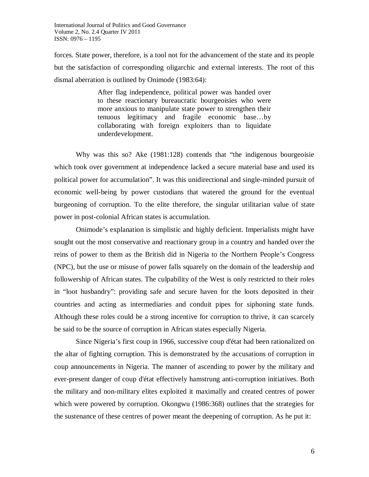forces. State power, therefore, is a tool not for the advancement of the state and its people but the satisfaction of corresponding oligarchic and external interests. The root of this dismal aberration is outlined by Onimode (1983:64):

> After flag independence, political power was handed over to these reactionary bureaucratic bourgeoisies who were more anxious to manipulate state power to strengthen their tenuous legitimacy and fragile economic base…by collaborating with foreign exploiters than to liquidate underdevelopment.

Why was this so? Ake (1981:128) contends that "the indigenous bourgeoisie which took over government at independence lacked a secure material base and used its political power for accumulation". It was this unidirectional and single-minded pursuit of economic well-being by power custodians that watered the ground for the eventual burgeoning of corruption. To the elite therefore, the singular utilitarian value of state power in post-colonial African states is accumulation.

Onimode's explanation is simplistic and highly deficient. Imperialists might have sought out the most conservative and reactionary group in a country and handed over the reins of power to them as the British did in Nigeria to the Northern People's Congress (NPC), but the use or misuse of power falls squarely on the domain of the leadership and followership of African states. The culpability of the West is only restricted to their roles in "loot husbandry": providing safe and secure haven for the loots deposited in their countries and acting as intermediaries and conduit pipes for siphoning state funds. Although these roles could be a strong incentive for corruption to thrive, it can scarcely be said to be the source of corruption in African states especially Nigeria.

Since Nigeria's first coup in 1966, successive coup d'état had been rationalized on the altar of fighting corruption. This is demonstrated by the accusations of corruption in coup announcements in Nigeria. The manner of ascending to power by the military and ever-present danger of coup d'état effectively hamstrung anti-corruption initiatives. Both the military and non-military elites exploited it maximally and created centres of power which were powered by corruption. Okongwu (1986:368) outlines that the strategies for the sustenance of these centres of power meant the deepening of corruption. As he put it: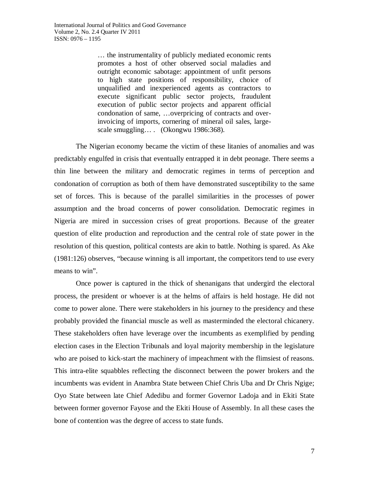… the instrumentality of publicly mediated economic rents promotes a host of other observed social maladies and outright economic sabotage: appointment of unfit persons to high state positions of responsibility, choice of unqualified and inexperienced agents as contractors to execute significant public sector projects, fraudulent execution of public sector projects and apparent official condonation of same, …overpricing of contracts and overinvoicing of imports, cornering of mineral oil sales, largescale smuggling… . (Okongwu 1986:368).

The Nigerian economy became the victim of these litanies of anomalies and was predictably engulfed in crisis that eventually entrapped it in debt peonage. There seems a thin line between the military and democratic regimes in terms of perception and condonation of corruption as both of them have demonstrated susceptibility to the same set of forces. This is because of the parallel similarities in the processes of power assumption and the broad concerns of power consolidation. Democratic regimes in Nigeria are mired in succession crises of great proportions. Because of the greater question of elite production and reproduction and the central role of state power in the resolution of this question, political contests are akin to battle. Nothing is spared. As Ake (1981:126) observes, "because winning is all important, the competitors tend to use every means to win".

Once power is captured in the thick of shenanigans that undergird the electoral process, the president or whoever is at the helms of affairs is held hostage. He did not come to power alone. There were stakeholders in his journey to the presidency and these probably provided the financial muscle as well as masterminded the electoral chicanery. These stakeholders often have leverage over the incumbents as exemplified by pending election cases in the Election Tribunals and loyal majority membership in the legislature who are poised to kick-start the machinery of impeachment with the flimsiest of reasons. This intra-elite squabbles reflecting the disconnect between the power brokers and the incumbents was evident in Anambra State between Chief Chris Uba and Dr Chris Ngige; Oyo State between late Chief Adedibu and former Governor Ladoja and in Ekiti State between former governor Fayose and the Ekiti House of Assembly. In all these cases the bone of contention was the degree of access to state funds.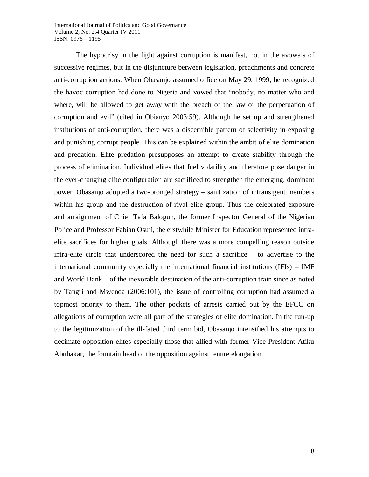The hypocrisy in the fight against corruption is manifest, not in the avowals of successive regimes, but in the disjuncture between legislation, preachments and concrete anti-corruption actions. When Obasanjo assumed office on May 29, 1999, he recognized the havoc corruption had done to Nigeria and vowed that "nobody, no matter who and where, will be allowed to get away with the breach of the law or the perpetuation of corruption and evil" (cited in Obianyo 2003:59). Although he set up and strengthened institutions of anti-corruption, there was a discernible pattern of selectivity in exposing and punishing corrupt people. This can be explained within the ambit of elite domination and predation. Elite predation presupposes an attempt to create stability through the process of elimination. Individual elites that fuel volatility and therefore pose danger in the ever-changing elite configuration are sacrificed to strengthen the emerging, dominant power. Obasanjo adopted a two-pronged strategy – sanitization of intransigent members within his group and the destruction of rival elite group. Thus the celebrated exposure and arraignment of Chief Tafa Balogun, the former Inspector General of the Nigerian Police and Professor Fabian Osuji, the erstwhile Minister for Education represented intraelite sacrifices for higher goals. Although there was a more compelling reason outside intra-elite circle that underscored the need for such a sacrifice – to advertise to the international community especially the international financial institutions (IFIs) – IMF and World Bank – of the inexorable destination of the anti-corruption train since as noted by Tangri and Mwenda (2006:101), the issue of controlling corruption had assumed a topmost priority to them. The other pockets of arrests carried out by the EFCC on allegations of corruption were all part of the strategies of elite domination. In the run-up to the legitimization of the ill-fated third term bid, Obasanjo intensified his attempts to decimate opposition elites especially those that allied with former Vice President Atiku Abubakar, the fountain head of the opposition against tenure elongation.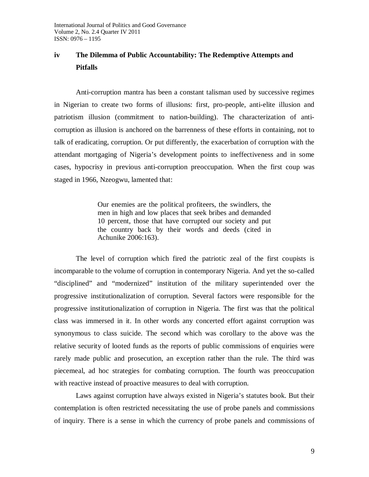## **iv The Dilemma of Public Accountability: The Redemptive Attempts and Pitfalls**

Anti-corruption mantra has been a constant talisman used by successive regimes in Nigerian to create two forms of illusions: first, pro-people, anti-elite illusion and patriotism illusion (commitment to nation-building). The characterization of anticorruption as illusion is anchored on the barrenness of these efforts in containing, not to talk of eradicating, corruption. Or put differently, the exacerbation of corruption with the attendant mortgaging of Nigeria's development points to ineffectiveness and in some cases, hypocrisy in previous anti-corruption preoccupation. When the first coup was staged in 1966, Nzeogwu, lamented that:

> Our enemies are the political profiteers, the swindlers, the men in high and low places that seek bribes and demanded 10 percent, those that have corrupted our society and put the country back by their words and deeds (cited in Achunike 2006:163).

The level of corruption which fired the patriotic zeal of the first coupists is incomparable to the volume of corruption in contemporary Nigeria. And yet the so-called "disciplined" and "modernized" institution of the military superintended over the progressive institutionalization of corruption. Several factors were responsible for the progressive institutionalization of corruption in Nigeria. The first was that the political class was immersed in it. In other words any concerted effort against corruption was synonymous to class suicide. The second which was corollary to the above was the relative security of looted funds as the reports of public commissions of enquiries were rarely made public and prosecution, an exception rather than the rule. The third was piecemeal, ad hoc strategies for combating corruption. The fourth was preoccupation with reactive instead of proactive measures to deal with corruption.

Laws against corruption have always existed in Nigeria's statutes book. But their contemplation is often restricted necessitating the use of probe panels and commissions of inquiry. There is a sense in which the currency of probe panels and commissions of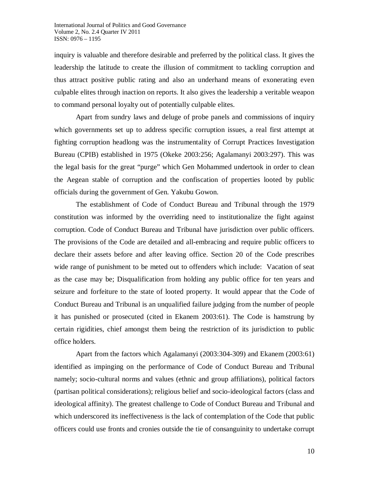inquiry is valuable and therefore desirable and preferred by the political class. It gives the leadership the latitude to create the illusion of commitment to tackling corruption and thus attract positive public rating and also an underhand means of exonerating even culpable elites through inaction on reports. It also gives the leadership a veritable weapon to command personal loyalty out of potentially culpable elites.

Apart from sundry laws and deluge of probe panels and commissions of inquiry which governments set up to address specific corruption issues, a real first attempt at fighting corruption headlong was the instrumentality of Corrupt Practices Investigation Bureau (CPIB) established in 1975 (Okeke 2003:256; Agalamanyi 2003:297). This was the legal basis for the great "purge" which Gen Mohammed undertook in order to clean the Aegean stable of corruption and the confiscation of properties looted by public officials during the government of Gen. Yakubu Gowon.

The establishment of Code of Conduct Bureau and Tribunal through the 1979 constitution was informed by the overriding need to institutionalize the fight against corruption. Code of Conduct Bureau and Tribunal have jurisdiction over public officers. The provisions of the Code are detailed and all-embracing and require public officers to declare their assets before and after leaving office. Section 20 of the Code prescribes wide range of punishment to be meted out to offenders which include: Vacation of seat as the case may be; Disqualification from holding any public office for ten years and seizure and forfeiture to the state of looted property. It would appear that the Code of Conduct Bureau and Tribunal is an unqualified failure judging from the number of people it has punished or prosecuted (cited in Ekanem 2003:61). The Code is hamstrung by certain rigidities, chief amongst them being the restriction of its jurisdiction to public office holders.

Apart from the factors which Agalamanyi (2003:304-309) and Ekanem (2003:61) identified as impinging on the performance of Code of Conduct Bureau and Tribunal namely; socio-cultural norms and values (ethnic and group affiliations), political factors (partisan political considerations); religious belief and socio-ideological factors (class and ideological affinity). The greatest challenge to Code of Conduct Bureau and Tribunal and which underscored its ineffectiveness is the lack of contemplation of the Code that public officers could use fronts and cronies outside the tie of consanguinity to undertake corrupt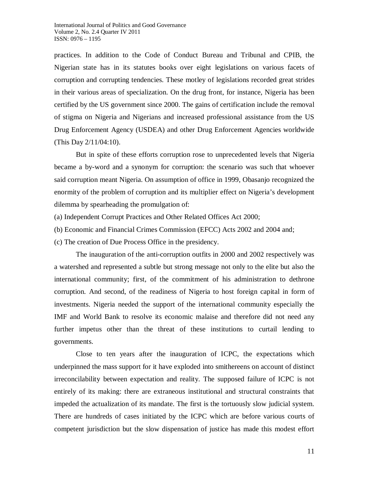practices. In addition to the Code of Conduct Bureau and Tribunal and CPIB, the Nigerian state has in its statutes books over eight legislations on various facets of corruption and corrupting tendencies. These motley of legislations recorded great strides in their various areas of specialization. On the drug front, for instance, Nigeria has been certified by the US government since 2000. The gains of certification include the removal of stigma on Nigeria and Nigerians and increased professional assistance from the US Drug Enforcement Agency (USDEA) and other Drug Enforcement Agencies worldwide (This Day 2/11/04:10).

But in spite of these efforts corruption rose to unprecedented levels that Nigeria became a by-word and a synonym for corruption: the scenario was such that whoever said corruption meant Nigeria. On assumption of office in 1999, Obasanjo recognized the enormity of the problem of corruption and its multiplier effect on Nigeria's development dilemma by spearheading the promulgation of:

(a) Independent Corrupt Practices and Other Related Offices Act 2000;

(b) Economic and Financial Crimes Commission (EFCC) Acts 2002 and 2004 and;

(c) The creation of Due Process Office in the presidency.

The inauguration of the anti-corruption outfits in 2000 and 2002 respectively was a watershed and represented a subtle but strong message not only to the elite but also the international community; first, of the commitment of his administration to dethrone corruption. And second, of the readiness of Nigeria to host foreign capital in form of investments. Nigeria needed the support of the international community especially the IMF and World Bank to resolve its economic malaise and therefore did not need any further impetus other than the threat of these institutions to curtail lending to governments.

Close to ten years after the inauguration of ICPC, the expectations which underpinned the mass support for it have exploded into smithereens on account of distinct irreconcilability between expectation and reality. The supposed failure of ICPC is not entirely of its making: there are extraneous institutional and structural constraints that impeded the actualization of its mandate. The first is the tortuously slow judicial system. There are hundreds of cases initiated by the ICPC which are before various courts of competent jurisdiction but the slow dispensation of justice has made this modest effort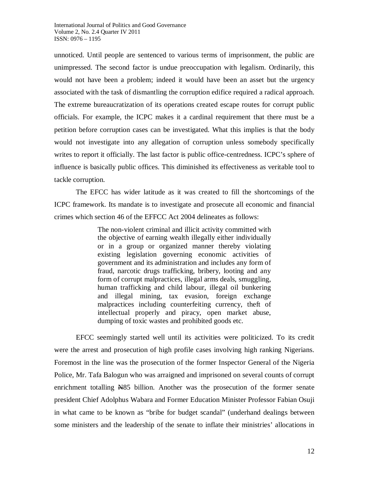unnoticed. Until people are sentenced to various terms of imprisonment, the public are unimpressed. The second factor is undue preoccupation with legalism. Ordinarily, this would not have been a problem; indeed it would have been an asset but the urgency associated with the task of dismantling the corruption edifice required a radical approach. The extreme bureaucratization of its operations created escape routes for corrupt public officials. For example, the ICPC makes it a cardinal requirement that there must be a petition before corruption cases can be investigated. What this implies is that the body would not investigate into any allegation of corruption unless somebody specifically writes to report it officially. The last factor is public office-centredness. ICPC's sphere of influence is basically public offices. This diminished its effectiveness as veritable tool to tackle corruption.

The EFCC has wider latitude as it was created to fill the shortcomings of the ICPC framework. Its mandate is to investigate and prosecute all economic and financial crimes which section 46 of the EFFCC Act 2004 delineates as follows:

> The non-violent criminal and illicit activity committed with the objective of earning wealth illegally either individually or in a group or organized manner thereby violating existing legislation governing economic activities of government and its administration and includes any form of fraud, narcotic drugs trafficking, bribery, looting and any form of corrupt malpractices, illegal arms deals, smuggling, human trafficking and child labour, illegal oil bunkering and illegal mining, tax evasion, foreign exchange malpractices including counterfeiting currency, theft of intellectual properly and piracy, open market abuse, dumping of toxic wastes and prohibited goods etc.

EFCC seemingly started well until its activities were politicized. To its credit were the arrest and prosecution of high profile cases involving high ranking Nigerians. Foremost in the line was the prosecution of the former Inspector General of the Nigeria Police, Mr. Tafa Balogun who was arraigned and imprisoned on several counts of corrupt enrichment totalling N85 billion. Another was the prosecution of the former senate president Chief Adolphus Wabara and Former Education Minister Professor Fabian Osuji in what came to be known as "bribe for budget scandal" (underhand dealings between some ministers and the leadership of the senate to inflate their ministries' allocations in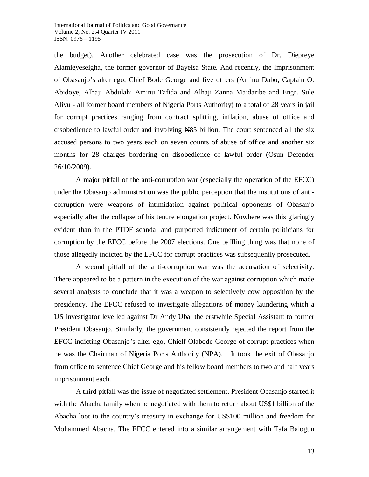the budget). Another celebrated case was the prosecution of Dr. Diepreye Alamieyeseigha, the former governor of Bayelsa State. And recently, the imprisonment of Obasanjo's alter ego, Chief Bode George and five others (Aminu Dabo, Captain O. Abidoye, Alhaji Abdulahi Aminu Tafida and Alhaji Zanna Maidaribe and Engr. Sule Aliyu - all former board members of Nigeria Ports Authority) to a total of 28 years in jail for corrupt practices ranging from contract splitting, inflation, abuse of office and disobedience to lawful order and involving  $N85$  billion. The court sentenced all the six accused persons to two years each on seven counts of abuse of office and another six months for 28 charges bordering on disobedience of lawful order (Osun Defender 26/10/2009).

A major pitfall of the anti-corruption war (especially the operation of the EFCC) under the Obasanjo administration was the public perception that the institutions of anticorruption were weapons of intimidation against political opponents of Obasanjo especially after the collapse of his tenure elongation project. Nowhere was this glaringly evident than in the PTDF scandal and purported indictment of certain politicians for corruption by the EFCC before the 2007 elections. One baffling thing was that none of those allegedly indicted by the EFCC for corrupt practices was subsequently prosecuted.

A second pitfall of the anti-corruption war was the accusation of selectivity. There appeared to be a pattern in the execution of the war against corruption which made several analysts to conclude that it was a weapon to selectively cow opposition by the presidency. The EFCC refused to investigate allegations of money laundering which a US investigator levelled against Dr Andy Uba, the erstwhile Special Assistant to former President Obasanjo. Similarly, the government consistently rejected the report from the EFCC indicting Obasanjo's alter ego, Chielf Olabode George of corrupt practices when he was the Chairman of Nigeria Ports Authority (NPA). It took the exit of Obasanjo from office to sentence Chief George and his fellow board members to two and half years imprisonment each.

A third pitfall was the issue of negotiated settlement. President Obasanjo started it with the Abacha family when he negotiated with them to return about US\$1 billion of the Abacha loot to the country's treasury in exchange for US\$100 million and freedom for Mohammed Abacha. The EFCC entered into a similar arrangement with Tafa Balogun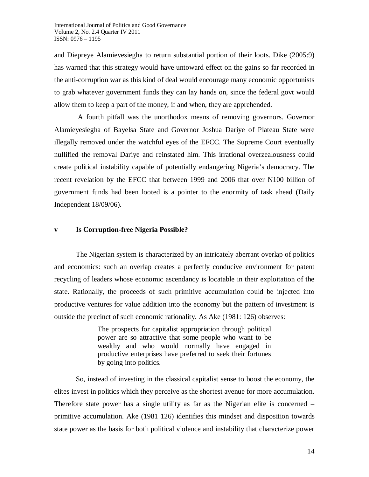and Diepreye Alamievesiegha to return substantial portion of their loots. Dike (2005:9) has warned that this strategy would have untoward effect on the gains so far recorded in the anti-corruption war as this kind of deal would encourage many economic opportunists to grab whatever government funds they can lay hands on, since the federal govt would allow them to keep a part of the money, if and when, they are apprehended.

A fourth pitfall was the unorthodox means of removing governors. Governor Alamieyesiegha of Bayelsa State and Governor Joshua Dariye of Plateau State were illegally removed under the watchful eyes of the EFCC. The Supreme Court eventually nullified the removal Dariye and reinstated him. This irrational overzealousness could create political instability capable of potentially endangering Nigeria's democracy. The recent revelation by the EFCC that between 1999 and 2006 that over N100 billion of government funds had been looted is a pointer to the enormity of task ahead (Daily Independent 18/09/06).

### **v Is Corruption-free Nigeria Possible?**

The Nigerian system is characterized by an intricately aberrant overlap of politics and economics: such an overlap creates a perfectly conducive environment for patent recycling of leaders whose economic ascendancy is locatable in their exploitation of the state. Rationally, the proceeds of such primitive accumulation could be injected into productive ventures for value addition into the economy but the pattern of investment is outside the precinct of such economic rationality. As Ake (1981: 126) observes:

> The prospects for capitalist appropriation through political power are so attractive that some people who want to be wealthy and who would normally have engaged in productive enterprises have preferred to seek their fortunes by going into politics.

So, instead of investing in the classical capitalist sense to boost the economy, the elites invest in politics which they perceive as the shortest avenue for more accumulation. Therefore state power has a single utility as far as the Nigerian elite is concerned – primitive accumulation. Ake (1981 126) identifies this mindset and disposition towards state power as the basis for both political violence and instability that characterize power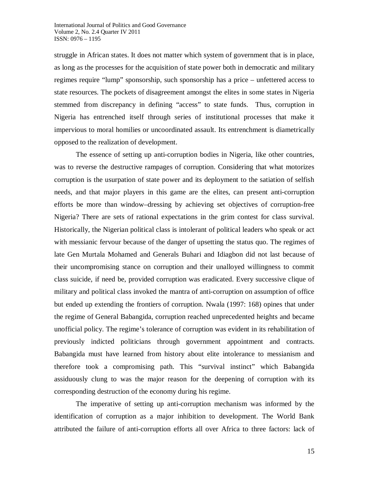struggle in African states. It does not matter which system of government that is in place, as long as the processes for the acquisition of state power both in democratic and military regimes require "lump" sponsorship, such sponsorship has a price – unfettered access to state resources. The pockets of disagreement amongst the elites in some states in Nigeria stemmed from discrepancy in defining "access" to state funds. Thus, corruption in Nigeria has entrenched itself through series of institutional processes that make it impervious to moral homilies or uncoordinated assault. Its entrenchment is diametrically opposed to the realization of development.

The essence of setting up anti-corruption bodies in Nigeria, like other countries, was to reverse the destructive rampages of corruption. Considering that what motorizes corruption is the usurpation of state power and its deployment to the satiation of selfish needs, and that major players in this game are the elites, can present anti-corruption efforts be more than window–dressing by achieving set objectives of corruption-free Nigeria? There are sets of rational expectations in the grim contest for class survival. Historically, the Nigerian political class is intolerant of political leaders who speak or act with messianic fervour because of the danger of upsetting the status quo. The regimes of late Gen Murtala Mohamed and Generals Buhari and Idiagbon did not last because of their uncompromising stance on corruption and their unalloyed willingness to commit class suicide, if need be, provided corruption was eradicated. Every successive clique of military and political class invoked the mantra of anti-corruption on assumption of office but ended up extending the frontiers of corruption. Nwala (1997: 168) opines that under the regime of General Babangida, corruption reached unprecedented heights and became unofficial policy. The regime's tolerance of corruption was evident in its rehabilitation of previously indicted politicians through government appointment and contracts. Babangida must have learned from history about elite intolerance to messianism and therefore took a compromising path. This "survival instinct" which Babangida assiduously clung to was the major reason for the deepening of corruption with its corresponding destruction of the economy during his regime.

The imperative of setting up anti-corruption mechanism was informed by the identification of corruption as a major inhibition to development. The World Bank attributed the failure of anti-corruption efforts all over Africa to three factors: lack of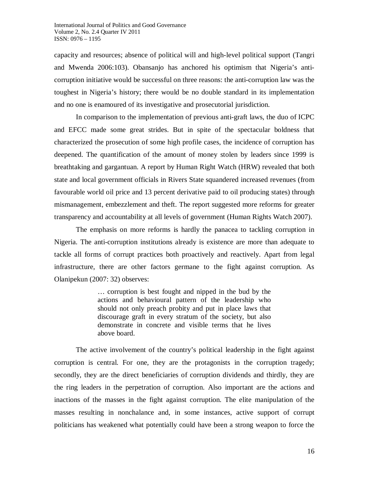capacity and resources; absence of political will and high-level political support (Tangri and Mwenda 2006:103). Obansanjo has anchored his optimism that Nigeria's anticorruption initiative would be successful on three reasons: the anti-corruption law was the toughest in Nigeria's history; there would be no double standard in its implementation and no one is enamoured of its investigative and prosecutorial jurisdiction.

In comparison to the implementation of previous anti-graft laws, the duo of ICPC and EFCC made some great strides. But in spite of the spectacular boldness that characterized the prosecution of some high profile cases, the incidence of corruption has deepened. The quantification of the amount of money stolen by leaders since 1999 is breathtaking and gargantuan. A report by Human Right Watch (HRW) revealed that both state and local government officials in Rivers State squandered increased revenues (from favourable world oil price and 13 percent derivative paid to oil producing states) through mismanagement, embezzlement and theft. The report suggested more reforms for greater transparency and accountability at all levels of government (Human Rights Watch 2007).

The emphasis on more reforms is hardly the panacea to tackling corruption in Nigeria. The anti-corruption institutions already is existence are more than adequate to tackle all forms of corrupt practices both proactively and reactively. Apart from legal infrastructure, there are other factors germane to the fight against corruption. As Olanipekun (2007: 32) observes:

> … corruption is best fought and nipped in the bud by the actions and behavioural pattern of the leadership who should not only preach probity and put in place laws that discourage graft in every stratum of the society, but also demonstrate in concrete and visible terms that he lives above board.

The active involvement of the country's political leadership in the fight against corruption is central. For one, they are the protagonists in the corruption tragedy; secondly, they are the direct beneficiaries of corruption dividends and thirdly, they are the ring leaders in the perpetration of corruption. Also important are the actions and inactions of the masses in the fight against corruption. The elite manipulation of the masses resulting in nonchalance and, in some instances, active support of corrupt politicians has weakened what potentially could have been a strong weapon to force the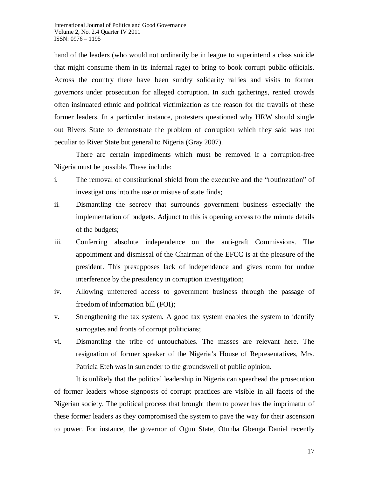hand of the leaders (who would not ordinarily be in league to superintend a class suicide that might consume them in its infernal rage) to bring to book corrupt public officials. Across the country there have been sundry solidarity rallies and visits to former governors under prosecution for alleged corruption. In such gatherings, rented crowds often insinuated ethnic and political victimization as the reason for the travails of these former leaders. In a particular instance, protesters questioned why HRW should single out Rivers State to demonstrate the problem of corruption which they said was not peculiar to River State but general to Nigeria (Gray 2007).

There are certain impediments which must be removed if a corruption-free Nigeria must be possible. These include:

- i. The removal of constitutional shield from the executive and the "routinzation" of investigations into the use or misuse of state finds;
- ii. Dismantling the secrecy that surrounds government business especially the implementation of budgets. Adjunct to this is opening access to the minute details of the budgets;
- iii. Conferring absolute independence on the anti-graft Commissions. The appointment and dismissal of the Chairman of the EFCC is at the pleasure of the president. This presupposes lack of independence and gives room for undue interference by the presidency in corruption investigation;
- iv. Allowing unfettered access to government business through the passage of freedom of information bill (FOI);
- v. Strengthening the tax system. A good tax system enables the system to identify surrogates and fronts of corrupt politicians;
- vi. Dismantling the tribe of untouchables. The masses are relevant here. The resignation of former speaker of the Nigeria's House of Representatives, Mrs. Patricia Eteh was in surrender to the groundswell of public opinion.

It is unlikely that the political leadership in Nigeria can spearhead the prosecution of former leaders whose signposts of corrupt practices are visible in all facets of the Nigerian society. The political process that brought them to power has the imprimatur of these former leaders as they compromised the system to pave the way for their ascension to power. For instance, the governor of Ogun State, Otunba Gbenga Daniel recently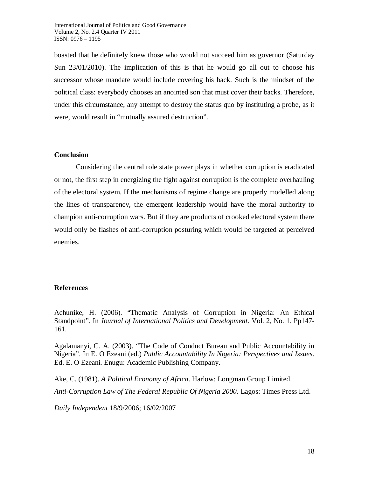boasted that he definitely knew those who would not succeed him as governor (Saturday Sun 23/01/2010). The implication of this is that he would go all out to choose his successor whose mandate would include covering his back. Such is the mindset of the political class: everybody chooses an anointed son that must cover their backs. Therefore, under this circumstance, any attempt to destroy the status quo by instituting a probe, as it were, would result in "mutually assured destruction".

### **Conclusion**

Considering the central role state power plays in whether corruption is eradicated or not, the first step in energizing the fight against corruption is the complete overhauling of the electoral system. If the mechanisms of regime change are properly modelled along the lines of transparency, the emergent leadership would have the moral authority to champion anti-corruption wars. But if they are products of crooked electoral system there would only be flashes of anti-corruption posturing which would be targeted at perceived enemies.

### **References**

Achunike, H. (2006). "Thematic Analysis of Corruption in Nigeria: An Ethical Standpoint". In *Journal of International Politics and Development*. Vol. 2, No. 1. Pp147- 161.

Agalamanyi, C. A. (2003). "The Code of Conduct Bureau and Public Accountability in Nigeria". In E. O Ezeani (ed.) *Public Accountability In Nigeria: Perspectives and Issues*. Ed. E. O Ezeani. Enugu: Academic Publishing Company.

Ake, C. (1981). *A Political Economy of Africa*. Harlow: Longman Group Limited. *Anti-Corruption Law of The Federal Republic Of Nigeria 2000*. Lagos: Times Press Ltd.

*Daily Independent* 18/9/2006; 16/02/2007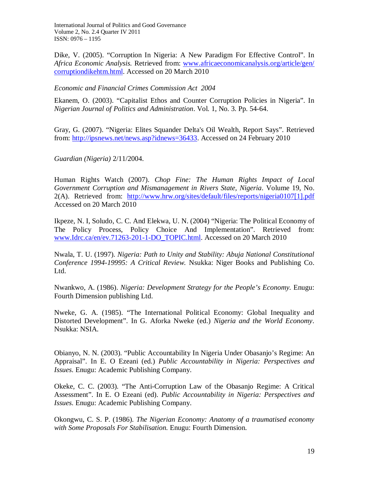Dike, V. (2005). "Corruption In Nigeria: A New Paradigm For Effective Control". In *Africa Economic Analysis.* Retrieved from: www.africaeconomicanalysis.org/article/gen/ corruptiondikehtm.html. Accessed on 20 March 2010

### *Economic and Financial Crimes Commission Act 2004*

Ekanem, O. (2003). "Capitalist Ethos and Counter Corruption Policies in Nigeria". In *Nigerian Journal of Politics and Administration*. Vol. 1, No. 3. Pp. 54-64.

Gray, G. (2007). "Nigeria: Elites Squander Delta's Oil Wealth, Report Says". Retrieved from: http://ipsnews.net/news.asp?idnews=36433. Accessed on 24 February 2010

*Guardian (Nigeria)* 2/11/2004.

Human Rights Watch (2007). *Chop Fine: The Human Rights Impact of Local Government Corruption and Mismanagement in Rivers State, Nigeria*. Volume 19, No. 2(A). Retrieved from: http://www.hrw.org/sites/default/files/reports/nigeria0107[1].pdf Accessed on 20 March 2010

Ikpeze, N. I, Soludo, C. C. And Elekwa, U. N. (2004) "Nigeria: The Political Economy of The Policy Process, Policy Choice And Implementation". Retrieved from: www.Idrc.ca/en/ev.71263-201-1-DO\_TOPIC.html. Accessed on 20 March 2010

Nwala, T. U. (1997). *Nigeria: Path to Unity and Stability: Abuja National Constitutional Conference 1994-19995: A Critical Review.* Nsukka: Niger Books and Publishing Co. Ltd.

Nwankwo, A. (1986). *Nigeria: Development Strategy for the People's Economy.* Enugu: Fourth Dimension publishing Ltd.

Nweke, G. A. (1985). "The International Political Economy: Global Inequality and Distorted Development". In G. Aforka Nweke (ed.) *Nigeria and the World Economy*. Nsukka: NSIA.

Obianyo, N. N. (2003). "Public Accountability In Nigeria Under Obasanjo's Regime: An Appraisal". In E. O Ezeani (ed.) *Public Accountability in Nigeria: Perspectives and Issues*. Enugu: Academic Publishing Company.

Okeke, C. C. (2003). "The Anti-Corruption Law of the Obasanjo Regime: A Critical Assessment". In E. O Ezeani (ed). *Public Accountability in Nigeria: Perspectives and Issues*. Enugu: Academic Publishing Company.

Okongwu, C. S. P. (1986). *The Nigerian Economy: Anatomy of a traumatised economy with Some Proposals For Stabilisation.* Enugu: Fourth Dimension.